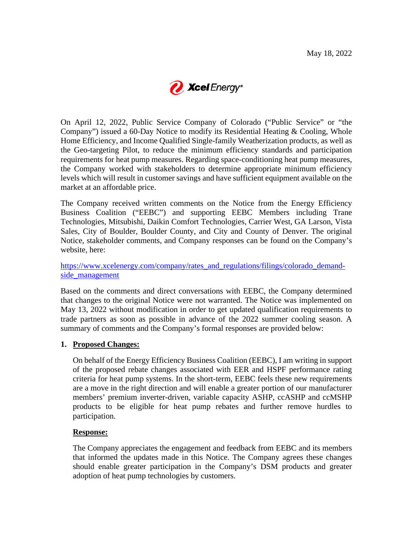

On April 12, 2022, Public Service Company of Colorado ("Public Service" or "the Company") issued a 60-Day Notice to modify its Residential Heating & Cooling, Whole Home Efficiency, and Income Qualified Single-family Weatherization products, as well as the Geo-targeting Pilot, to reduce the minimum efficiency standards and participation requirements for heat pump measures. Regarding space-conditioning heat pump measures, the Company worked with stakeholders to determine appropriate minimum efficiency levels which will result in customer savings and have sufficient equipment available on the market at an affordable price.

The Company received written comments on the Notice from the Energy Efficiency Business Coalition ("EEBC") and supporting EEBC Members including Trane Technologies, Mitsubishi, Daikin Comfort Technologies, Carrier West, GA Larson, Vista Sales, City of Boulder, Boulder County, and City and County of Denver. The original Notice, stakeholder comments, and Company responses can be found on the Company's website, here:

[https://www.xcelenergy.com/company/rates\\_and\\_regulations/filings/colorado\\_demand](https://www.xcelenergy.com/company/rates_and_regulations/filings/colorado_demand-side_management)side management

Based on the comments and direct conversations with EEBC, the Company determined that changes to the original Notice were not warranted. The Notice was implemented on May 13, 2022 without modification in order to get updated qualification requirements to trade partners as soon as possible in advance of the 2022 summer cooling season. A summary of comments and the Company's formal responses are provided below:

## **1. Proposed Changes:**

On behalf of the Energy Efficiency Business Coalition (EEBC), I am writing in support of the proposed rebate changes associated with EER and HSPF performance rating criteria for heat pump systems. In the short-term, EEBC feels these new requirements are a move in the right direction and will enable a greater portion of our manufacturer members' premium inverter-driven, variable capacity ASHP, ccASHP and ccMSHP products to be eligible for heat pump rebates and further remove hurdles to participation.

## **Response:**

The Company appreciates the engagement and feedback from EEBC and its members that informed the updates made in this Notice. The Company agrees these changes should enable greater participation in the Company's DSM products and greater adoption of heat pump technologies by customers.